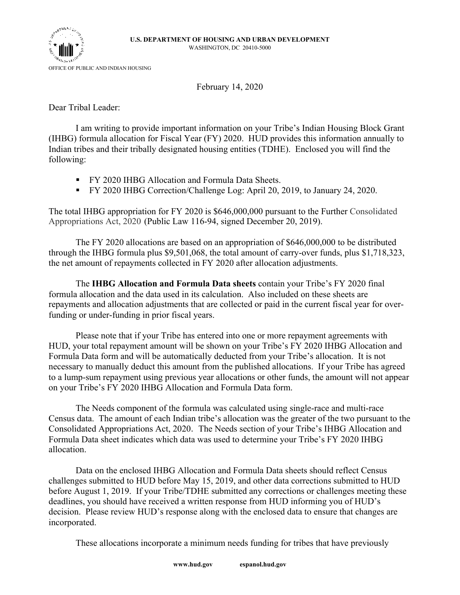

February 14, 2020

Dear Tribal Leader:

I am writing to provide important information on your Tribe's Indian Housing Block Grant (IHBG) formula allocation for Fiscal Year (FY) 2020. HUD provides this information annually to Indian tribes and their tribally designated housing entities (TDHE). Enclosed you will find the following:

- FY 2020 IHBG Allocation and Formula Data Sheets.
- § FY 2020 IHBG Correction/Challenge Log: April 20, 2019, to January 24, 2020.

The total IHBG appropriation for FY 2020 is \$646,000,000 pursuant to the Further Consolidated Appropriations Act, 2020 (Public Law 116-94, signed December 20, 2019).

The FY 2020 allocations are based on an appropriation of \$646,000,000 to be distributed through the IHBG formula plus \$9,501,068, the total amount of carry-over funds, plus \$1,718,323, the net amount of repayments collected in FY 2020 after allocation adjustments.

The **IHBG Allocation and Formula Data sheets** contain your Tribe's FY 2020 final formula allocation and the data used in its calculation. Also included on these sheets are repayments and allocation adjustments that are collected or paid in the current fiscal year for overfunding or under-funding in prior fiscal years.

Please note that if your Tribe has entered into one or more repayment agreements with HUD, your total repayment amount will be shown on your Tribe's FY 2020 IHBG Allocation and Formula Data form and will be automatically deducted from your Tribe's allocation. It is not necessary to manually deduct this amount from the published allocations. If your Tribe has agreed to a lump-sum repayment using previous year allocations or other funds, the amount will not appear on your Tribe's FY 2020 IHBG Allocation and Formula Data form.

The Needs component of the formula was calculated using single-race and multi-race Census data. The amount of each Indian tribe's allocation was the greater of the two pursuant to the Consolidated Appropriations Act, 2020. The Needs section of your Tribe's IHBG Allocation and Formula Data sheet indicates which data was used to determine your Tribe's FY 2020 IHBG allocation.

Data on the enclosed IHBG Allocation and Formula Data sheets should reflect Census challenges submitted to HUD before May 15, 2019, and other data corrections submitted to HUD before August 1, 2019. If your Tribe/TDHE submitted any corrections or challenges meeting these deadlines, you should have received a written response from HUD informing you of HUD's decision. Please review HUD's response along with the enclosed data to ensure that changes are incorporated.

These allocations incorporate a minimum needs funding for tribes that have previously